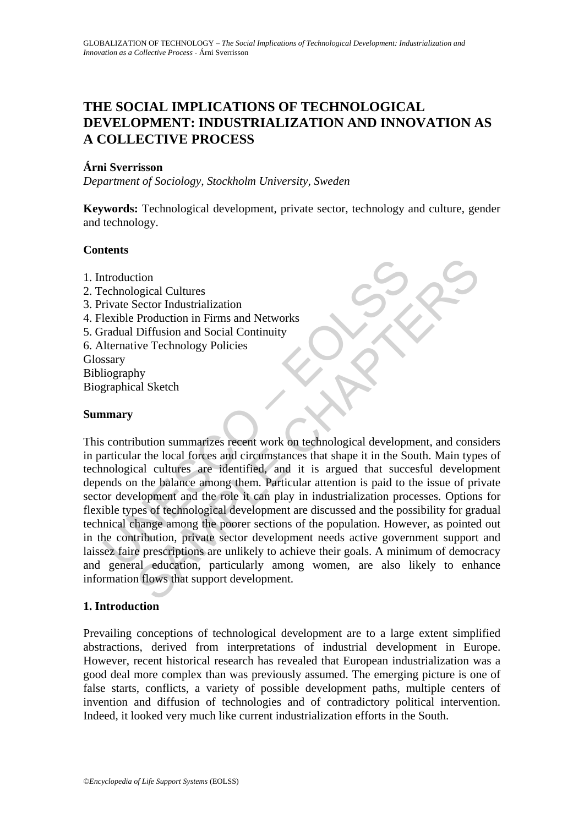# **THE SOCIAL IMPLICATIONS OF TECHNOLOGICAL DEVELOPMENT: INDUSTRIALIZATION AND INNOVATION AS A COLLECTIVE PROCESS**

# **Árni Sverrisson**

*Department of Sociology, Stockholm University, Sweden* 

**Keywords:** Technological development, private sector, technology and culture, gender and technology.

# **Contents**

- 1. Introduction
- 2. Technological Cultures
- 3. Private Sector Industrialization
- 4. Flexible Production in Firms and Networks
- 5. Gradual Diffusion and Social Continuity
- 6. Alternative Technology Policies

Glossary

Bibliography

Biographical Sketch

### **Summary**

ntroduction<br>
exhnological Cultures<br>
rivate Sector Industrialization<br>
lexible Production in Firms and Networks<br>
radual Diffusion and Social Continuity<br>
lternative Technology Policies<br>
ssary<br>
itiography<br>
argraphical Sketch<br> tion<br>
siector Industrialization<br>
Production in Firms and Networks<br>
Diffusion and Social Continuity<br>
ive Technology Policies<br>
hy<br>
al Sketch<br>
hy<br>
al Sketch<br>
bution summarizes recent work on technological development, and con This contribution summarizes recent work on technological development, and considers in particular the local forces and circumstances that shape it in the South. Main types of technological cultures are identified, and it is argued that succesful development depends on the balance among them. Particular attention is paid to the issue of private sector development and the role it can play in industrialization processes. Options for flexible types of technological development are discussed and the possibility for gradual technical change among the poorer sections of the population. However, as pointed out in the contribution, private sector development needs active government support and laissez faire prescriptions are unlikely to achieve their goals. A minimum of democracy and general education, particularly among women, are also likely to enhance information flows that support development.

# **1. Introduction**

Prevailing conceptions of technological development are to a large extent simplified abstractions, derived from interpretations of industrial development in Europe. However, recent historical research has revealed that European industrialization was a good deal more complex than was previously assumed. The emerging picture is one of false starts, conflicts, a variety of possible development paths, multiple centers of invention and diffusion of technologies and of contradictory political intervention. Indeed, it looked very much like current industrialization efforts in the South.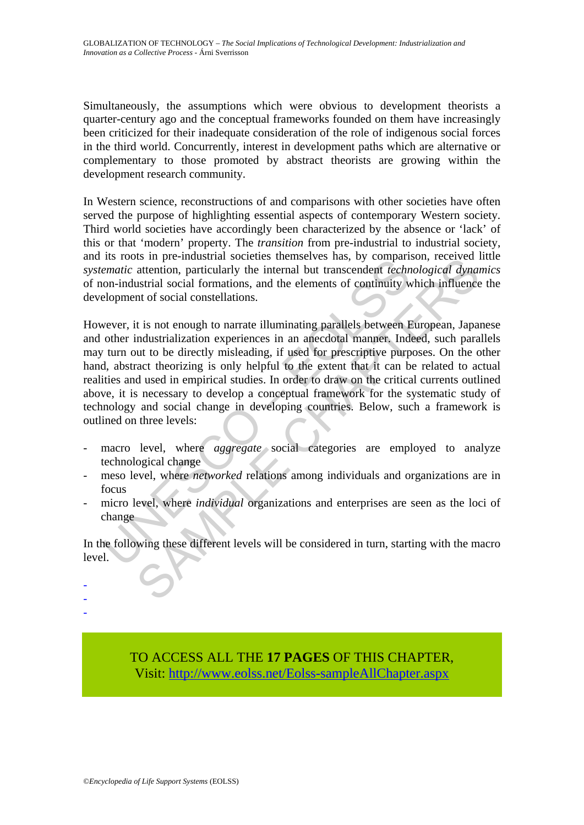Simultaneously, the assumptions which were obvious to development theorists a quarter-century ago and the conceptual frameworks founded on them have increasingly been criticized for their inadequate consideration of the role of indigenous social forces in the third world. Concurrently, interest in development paths which are alternative or complementary to those promoted by abstract theorists are growing within the development research community.

In Western science, reconstructions of and comparisons with other societies have often served the purpose of highlighting essential aspects of contemporary Western society. Third world societies have accordingly been characterized by the absence or 'lack' of this or that 'modern' property. The *transition* from pre-industrial to industrial society, and its roots in pre-industrial societies themselves has, by comparison, received little *systematic* attention, particularly the internal but transcendent *technological dynamics* of non-industrial social formations, and the elements of continuity which influence the development of social constellations.

Its roots in per-inustari societis temistrics the interaction and the transiential contribution and the elements of continuity weren in on-industrial social formations, and the elements of continuity wever, it is not enoug In pre-intustival societies tremelistives has, by comparison, received in<br>attention, particularly the internal but transcendent *technological dynas*<br>ustrial social corrations, and the elements of continuity which influenc However, it is not enough to narrate illuminating parallels between European, Japanese and other industrialization experiences in an anecdotal manner. Indeed, such parallels may turn out to be directly misleading, if used for prescriptive purposes. On the other hand, abstract theorizing is only helpful to the extent that it can be related to actual realities and used in empirical studies. In order to draw on the critical currents outlined above, it is necessary to develop a conceptual framework for the systematic study of technology and social change in developing countries. Below, such a framework is outlined on three levels:

- macro level, where *aggregate* social categories are employed to analyze technological change
- meso level, where *networked* relations among individuals and organizations are in focus
- micro level, where *individual* organizations and enterprises are seen as the loci of change

In the following these different levels will be considered in turn, starting with the macro level.

- -

-

TO ACCESS ALL THE **17 PAGES** OF THIS CHAPTER, Visit: [http://www.eolss.net/Eolss-sampleAllChapter.aspx](https://www.eolss.net/ebooklib/sc_cart.aspx?File=E1-31-04)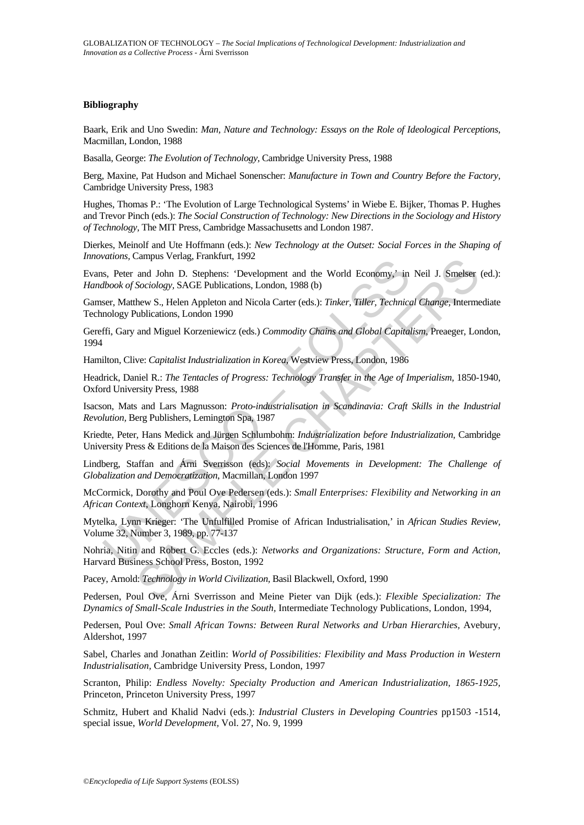### **Bibliography**

Baark, Erik and Uno Swedin: *Man, Nature and Technology: Essays on the Role of Ideological Perceptions,* Macmillan, London, 1988

Basalla, George: *The Evolution of Technology,* Cambridge University Press, 1988

Berg, Maxine, Pat Hudson and Michael Sonenscher: *Manufacture in Town and Country Before the Factory,* Cambridge University Press, 1983

Hughes, Thomas P.: 'The Evolution of Large Technological Systems' in Wiebe E. Bijker, Thomas P. Hughes and Trevor Pinch (eds.): *The Social Construction of Technology: New Directions in the Sociology and History of Technology,* The MIT Press, Cambridge Massachusetts and London 1987.

Dierkes, Meinolf and Ute Hoffmann (eds.): *New Technology at the Outset: Social Forces in the Shaping of Innovations,* Campus Verlag, Frankfurt, 1992

Vallots, campus verlag, Franklut, 1992<br>
s., Peter and John D. Stephens: 'Development and the World Economy,' in<br> *Bhook of Sociology*, SAGE Publications, London, 1988 (b)<br>
ser, Matthew S., Helen Appleton and Nicola Carter Lampus Vertag, Franklurt, 1992<br>
annyls Vertag, Franklurt, 1992<br>
Sociology, SAGE Publications, London, 1988 (b)<br>
Bevelopment and Hicola Carter (eds.): *Tinker, Tiller, Technical Change*, Intermediblications, London 1990<br>
an Evans, Peter and John D. Stephens: 'Development and the World Economy,' in Neil J. Smelser (ed.): *Handbook of Sociology,* SAGE Publications, London, 1988 (b)

Gamser, Matthew S., Helen Appleton and Nicola Carter (eds.): *Tinker, Tiller, Technical Change,* Intermediate Technology Publications, London 1990

Gereffi, Gary and Miguel Korzeniewicz (eds.) *Commodity Chains and Global Capitalism,* Preaeger, London, 1994

Hamilton, Clive: *Capitalist Industrialization in Korea,* Westview Press, London, 1986

Headrick, Daniel R.: *The Tentacles of Progress: Technology Transfer in the Age of Imperialism,* 1850-1940, Oxford University Press, 1988

Isacson, Mats and Lars Magnusson: *Proto-industrialisation in Scandinavia: Craft Skills in the Industrial Revolution,* Berg Publishers, Lemington Spa, 1987

Kriedte, Peter, Hans Medick and Jürgen Schlumbohm: *Industrialization before Industrialization,* Cambridge University Press & Editions de la Maison des Sciences de l'Homme, Paris, 1981

Lindberg, Staffan and Árni Sverrisson (eds): *Social Movements in Development: The Challenge of Globalization and Democratization*, Macmillan, London 1997

McCormick, Dorothy and Poul Ove Pedersen (eds.): *Small Enterprises: Flexibility and Networking in an African Context,* Longhorn Kenya, Nairobi, 1996

Mytelka, Lynn Krieger: 'The Unfulfilled Promise of African Industrialisation,' in *African Studies Review,* Volume 32, Number 3, 1989, pp. 77-137

Nohria, Nitin and Robert G. Eccles (eds.): *Networks and Organizations: Structure, Form and Action,*  Harvard Business School Press, Boston, 1992

Pacey, Arnold: *Technology in World Civilization,* Basil Blackwell, Oxford, 1990

Pedersen, Poul Ove, Árni Sverrisson and Meine Pieter van Dijk (eds.): *Flexible Specialization: The Dynamics of Small-Scale Industries in the South,* Intermediate Technology Publications, London, 1994,

Pedersen, Poul Ove: *Small African Towns: Between Rural Networks and Urban Hierarchies,* Avebury, Aldershot, 1997

Sabel, Charles and Jonathan Zeitlin: *World of Possibilities: Flexibility and Mass Production in Western Industrialisation,* Cambridge University Press, London, 1997

Scranton, Philip: *Endless Novelty: Specialty Production and American Industrialization, 1865-1925,*  Princeton, Princeton University Press, 1997

Schmitz, Hubert and Khalid Nadvi (eds.): *Industrial Clusters in Developing Countries* pp1503 -1514*,*  special issue, *World Development,* Vol. 27, No. 9, 1999